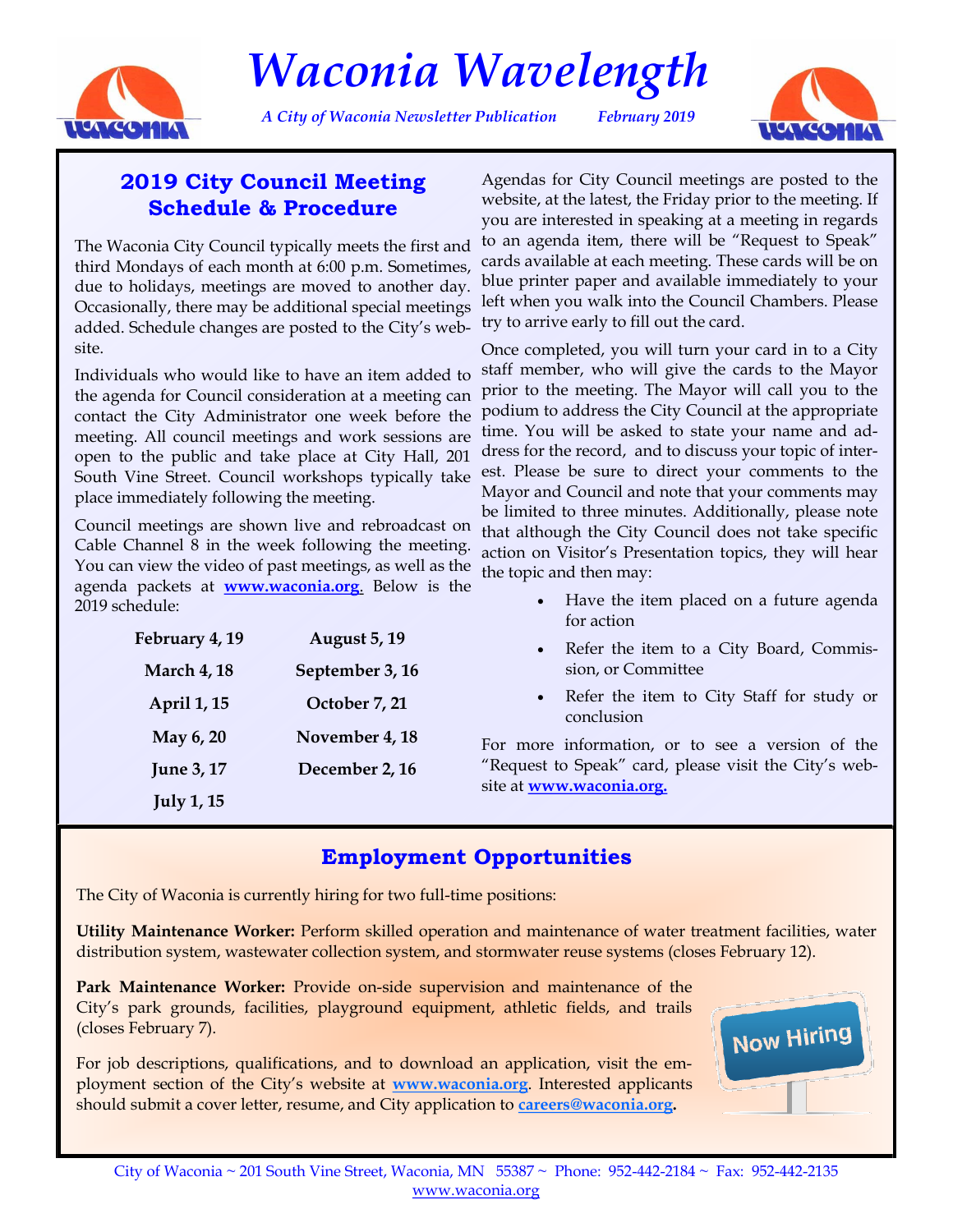

*Waconia Wavelength*

*A City of Waconia Newsletter Publication February 2019*



## **2019 City Council Meeting Schedule & Procedure**

The Waconia City Council typically meets the first and third Mondays of each month at 6:00 p.m. Sometimes, due to holidays, meetings are moved to another day. Occasionally, there may be additional special meetings added. Schedule changes are posted to the City's website.

Individuals who would like to have an item added to the agenda for Council consideration at a meeting can contact the City Administrator one week before the meeting. All council meetings and work sessions are open to the public and take place at City Hall, 201 South Vine Street. Council workshops typically take place immediately following the meeting.

Council meetings are shown live and rebroadcast on Cable Channel 8 in the week following the meeting. You can view the video of past meetings, as well as the agenda packets at **[www.waconia.org](http://waconia.org/AgendaCenter)**. Below is the 2019 schedule:

| February 4, 19     | <b>August 5, 19</b> |
|--------------------|---------------------|
| <b>March 4, 18</b> | September 3, 16     |
| April 1, 15        | October 7, 21       |
| May 6, 20          | November 4, 18      |
| <b>June 3, 17</b>  | December 2, 16      |
| <b>July 1, 15</b>  |                     |

Agendas for City Council meetings are posted to the website, at the latest, the Friday prior to the meeting. If you are interested in speaking at a meeting in regards to an agenda item, there will be "Request to Speak" cards available at each meeting. These cards will be on blue printer paper and available immediately to your left when you walk into the Council Chambers. Please try to arrive early to fill out the card.

Once completed, you will turn your card in to a City staff member, who will give the cards to the Mayor prior to the meeting. The Mayor will call you to the podium to address the City Council at the appropriate time. You will be asked to state your name and address for the record, and to discuss your topic of interest. Please be sure to direct your comments to the Mayor and Council and note that your comments may be limited to three minutes. Additionally, please note that although the City Council does not take specific action on Visitor's Presentation topics, they will hear the topic and then may:

- Have the item placed on a future agenda for action
- Refer the item to a City Board, Commission, or Committee
- Refer the item to City Staff for study or conclusion

For more information, or to see a version of the "Request to Speak" card, please visit the City's website at **[www.waconia.org.](http://waconia.org/AgendaCenter)** 

# **Employment Opportunities**

The City of Waconia is currently hiring for two full-time positions:

**Utility Maintenance Worker:** Perform skilled operation and maintenance of water treatment facilities, water distribution system, wastewater collection system, and stormwater reuse systems (closes February 12).

**Park Maintenance Worker:** Provide on-side supervision and maintenance of the City's park grounds, facilities, playground equipment, athletic fields, and trails (closes February 7).

For job descriptions, qualifications, and to download an application, visit the employment section of the City's website at **[www.waconia.org](http://waconia.org/jobs.aspx)**. Interested applicants should submit a cover letter, resume, and City application to **[careers@waconia.org.](mailto:careers@waconia.org)**